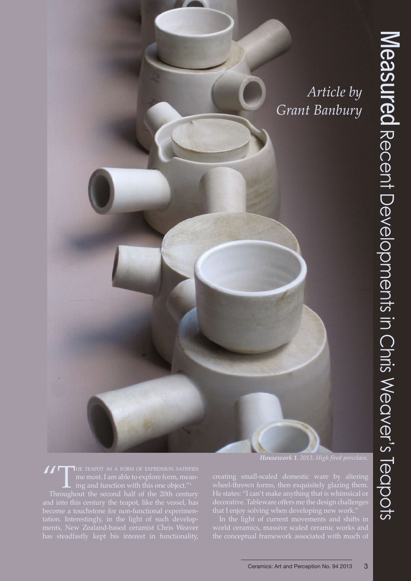*Article by Grant Banbury*

THE TEAPOT AS A FORM OF EXPRESSION SATISFIES<br>
me most. I am able to explore form, mean-<br>
ing and function with this one object.<sup>"1</sup><br>
Throughout the second half of the 20th century

become a touchstone for non-functional experimen-

He states: "I can't make anything that is whimsical or that I enjoy solving when developing new work."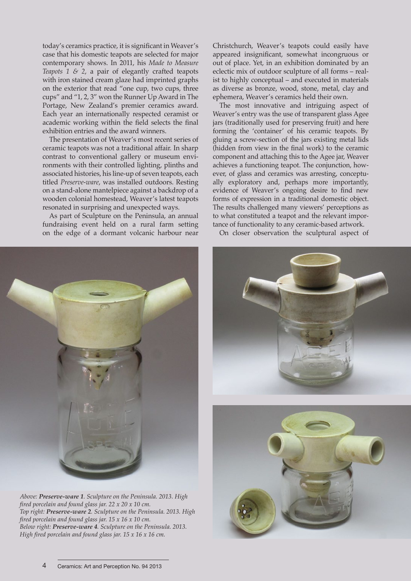today's ceramics practice, it is significant in Weaver's case that his domestic teapots are selected for major contemporary shows. In 2011, his *Made to Measure Teapots 1 & 2*, a pair of elegantly crafted teapots with iron stained cream glaze had imprinted graphs on the exterior that read "one cup, two cups, three cups" and "1, 2, 3" won the Runner Up Award in The Portage, New Zealand's premier ceramics award. Each year an internationally respected ceramist or academic working within the field selects the final exhibition entries and the award winners.

The presentation of Weaver's most recent series of ceramic teapots was not a traditional affair. In sharp contrast to conventional gallery or museum environments with their controlled lighting, plinths and associated histories, his line-up of seven teapots, each titled *Preserve-ware*, was installed outdoors. Resting on a stand-alone mantelpiece against a backdrop of a wooden colonial homestead, Weaver's latest teapots resonated in surprising and unexpected ways.

As part of Sculpture on the Peninsula, an annual fundraising event held on a rural farm setting on the edge of a dormant volcanic harbour near



*Above: Preserve-ware 1. Sculpture on the Peninsula. 2013. High fired porcelain and found glass jar. 22 x 20 x 10 cm. Top right: Preserve-ware 2. Sculpture on the Peninsula. 2013. High fired porcelain and found glass jar. 15 x 16 x 10 cm. Below right: Preserve-ware 4. Sculpture on the Peninsula. 2013. High fired porcelain and found glass jar. 15 x 16 x 16 cm.*

Christchurch, Weaver's teapots could easily have appeared insignificant, somewhat incongruous or out of place. Yet, in an exhibition dominated by an eclectic mix of outdoor sculpture of all forms – realist to highly conceptual – and executed in materials as diverse as bronze, wood, stone, metal, clay and ephemera, Weaver's ceramics held their own.

The most innovative and intriguing aspect of Weaver's entry was the use of transparent glass Agee jars (traditionally used for preserving fruit) and here forming the 'container' of his ceramic teapots. By gluing a screw-section of the jars existing metal lids (hidden from view in the final work) to the ceramic component and attaching this to the Agee jar, Weaver achieves a functioning teapot. The conjunction, however, of glass and ceramics was arresting, conceptually exploratory and, perhaps more importantly, evidence of Weaver's ongoing desire to find new forms of expression in a traditional domestic object. The results challenged many viewers' perceptions as to what constituted a teapot and the relevant importance of functionality to any ceramic-based artwork.

On closer observation the sculptural aspect of



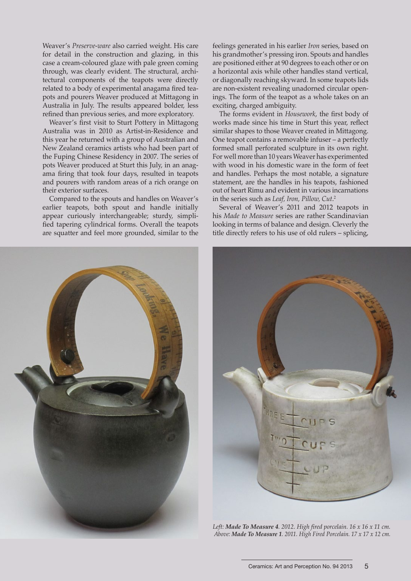Weaver's *Preserve-ware* also carried weight. His care for detail in the construction and glazing, in this case a cream-coloured glaze with pale green coming through, was clearly evident. The structural, architectural components of the teapots were directly related to a body of experimental anagama fired teapots and pourers Weaver produced at Mittagong in Australia in July. The results appeared bolder, less refined than previous series, and more exploratory.

Weaver's first visit to Sturt Pottery in Mittagong Australia was in 2010 as Artist-in-Residence and this year he returned with a group of Australian and New Zealand ceramics artists who had been part of the Fuping Chinese Residency in 2007. The series of pots Weaver produced at Sturt this July, in an anagama firing that took four days, resulted in teapots and pourers with random areas of a rich orange on their exterior surfaces.

Compared to the spouts and handles on Weaver's earlier teapots, both spout and handle initially appear curiously interchangeable; sturdy, simplified tapering cylindrical forms. Overall the teapots are squatter and feel more grounded, similar to the



feelings generated in his earlier *Iron* series, based on his grandmother's pressing iron. Spouts and handles are positioned either at 90 degrees to each other or on a horizontal axis while other handles stand vertical, or diagonally reaching skyward. In some teapots lids are non-existent revealing unadorned circular openings. The form of the teapot as a whole takes on an exciting, charged ambiguity.

The forms evident in *Housework*, the first body of works made since his time in Sturt this year, reflect similar shapes to those Weaver created in Mittagong. One teapot contains a removable infuser – a perfectly formed small perforated sculpture in its own right. For well more than 10 years Weaver has experimented with wood in his domestic ware in the form of feet and handles. Perhaps the most notable, a signature statement, are the handles in his teapots, fashioned out of heart Rimu and evident in various incarnations in the series such as *Leaf, Iron, Pillow, Cut*. 2

Several of Weaver's 2011 and 2012 teapots in his *Made to Measure* series are rather Scandinavian looking in terms of balance and design. Cleverly the title directly refers to his use of old rulers – splicing,



*Left: Made To Measure 4. 2012. High fired porcelain. 16 x 16 x 11 cm. Above: Made To Measure 1. 2011. High Fired Porcelain. 17 x 17 x 12 cm.*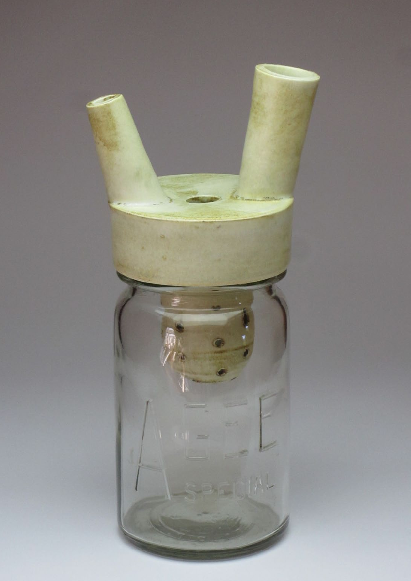